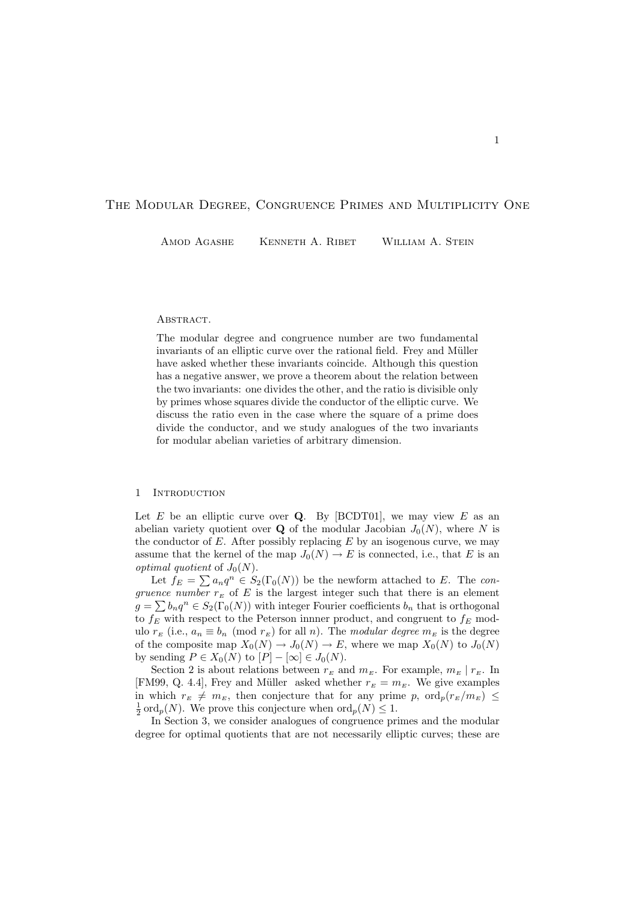# The Modular Degree, Congruence Primes and Multiplicity One

AMOD AGASHE KENNETH A. RIBET WILLIAM A. STEIN

## ABSTRACT.

The modular degree and congruence number are two fundamental invariants of an elliptic curve over the rational field. Frey and Müller have asked whether these invariants coincide. Although this question has a negative answer, we prove a theorem about the relation between the two invariants: one divides the other, and the ratio is divisible only by primes whose squares divide the conductor of the elliptic curve. We discuss the ratio even in the case where the square of a prime does divide the conductor, and we study analogues of the two invariants for modular abelian varieties of arbitrary dimension.

## 1 Introduction

Let  $E$  be an elliptic curve over  $Q$ . By [BCDT01], we may view  $E$  as an abelian variety quotient over **Q** of the modular Jacobian  $J_0(N)$ , where N is the conductor of  $E$ . After possibly replacing  $E$  by an isogenous curve, we may assume that the kernel of the map  $J_0(N) \to E$  is connected, i.e., that E is an *optimal quotient* of  $J_0(N)$ .

Let  $f_E = \sum a_n q^n \in S_2(\Gamma_0(N))$  be the newform attached to E. The congruence number  $r_E$  of E is the largest integer such that there is an element  $g = \sum b_n q^n \in S_2(\Gamma_0(N))$  with integer Fourier coefficients  $b_n$  that is orthogonal to  $f_E$  with respect to the Peterson innner product, and congruent to  $f_E$  modulo  $r_E$  (i.e.,  $a_n \equiv b_n \pmod{r_E}$  for all n). The modular degree  $m_E$  is the degree of the composite map  $X_0(N) \to J_0(N) \to E$ , where we map  $X_0(N)$  to  $J_0(N)$ by sending  $P \in X_0(N)$  to  $[P] - [\infty] \in J_0(N)$ .

Section 2 is about relations between  $r_E$  and  $m_E$ . For example,  $m_E | r_E$ . In [FM99, Q. 4.4], Frey and Müller asked whether  $r_E = m_E$ . We give examples in which  $r_E \neq m_E$ , then conjecture that for any prime p,  $\text{ord}_p(r_E/m_E) \leq$  $\frac{1}{2}$  ord<sub>p</sub>(N). We prove this conjecture when  $\text{ord}_p(N) \leq 1$ .

In Section 3, we consider analogues of congruence primes and the modular degree for optimal quotients that are not necessarily elliptic curves; these are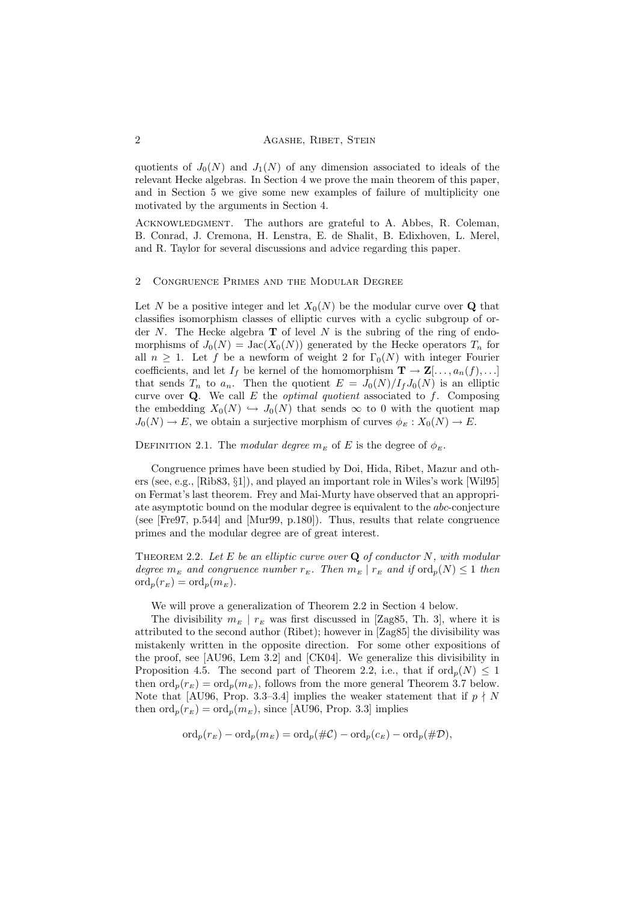quotients of  $J_0(N)$  and  $J_1(N)$  of any dimension associated to ideals of the relevant Hecke algebras. In Section 4 we prove the main theorem of this paper, and in Section 5 we give some new examples of failure of multiplicity one motivated by the arguments in Section 4.

ACKNOWLEDGMENT. The authors are grateful to A. Abbes, R. Coleman, B. Conrad, J. Cremona, H. Lenstra, E. de Shalit, B. Edixhoven, L. Merel, and R. Taylor for several discussions and advice regarding this paper.

## 2 Congruence Primes and the Modular Degree

Let N be a positive integer and let  $X_0(N)$  be the modular curve over Q that classifies isomorphism classes of elliptic curves with a cyclic subgroup of order  $N$ . The Hecke algebra **T** of level  $N$  is the subring of the ring of endomorphisms of  $J_0(N) = \text{Jac}(X_0(N))$  generated by the Hecke operators  $T_n$  for all  $n \geq 1$ . Let f be a newform of weight 2 for  $\Gamma_0(N)$  with integer Fourier coefficients, and let  $I_f$  be kernel of the homomorphism  $\mathbf{T} \to \mathbf{Z}[\ldots, a_n(f), \ldots]$ that sends  $T_n$  to  $a_n$ . Then the quotient  $E = J_0(N)/I_fJ_0(N)$  is an elliptic curve over  $Q$ . We call E the *optimal quotient* associated to f. Composing the embedding  $X_0(N) \hookrightarrow J_0(N)$  that sends  $\infty$  to 0 with the quotient map  $J_0(N) \to E$ , we obtain a surjective morphism of curves  $\phi_E : X_0(N) \to E$ .

DEFINITION 2.1. The modular degree  $m_E$  of E is the degree of  $\phi_E$ .

Congruence primes have been studied by Doi, Hida, Ribet, Mazur and others (see, e.g., [Rib83, §1]), and played an important role in Wiles's work [Wil95] on Fermat's last theorem. Frey and Mai-Murty have observed that an appropriate asymptotic bound on the modular degree is equivalent to the abc-conjecture (see [Fre97, p.544] and [Mur99, p.180]). Thus, results that relate congruence primes and the modular degree are of great interest.

THEOREM 2.2. Let  $E$  be an elliptic curve over  $Q$  of conductor  $N$ , with modular degree  $m_E$  and congruence number  $r_E$ . Then  $m_E | r_E$  and if  $\text{ord}_n(N) \leq 1$  then  $\operatorname{ord}_p(r_E) = \operatorname{ord}_p(m_E).$ 

We will prove a generalization of Theorem 2.2 in Section 4 below.

The divisibility  $m_E | r_E$  was first discussed in [Zag85, Th. 3], where it is attributed to the second author (Ribet); however in [Zag85] the divisibility was mistakenly written in the opposite direction. For some other expositions of the proof, see [AU96, Lem 3.2] and [CK04]. We generalize this divisibility in Proposition 4.5. The second part of Theorem 2.2, i.e., that if  $\text{ord}_n(N) \leq 1$ then  $\operatorname{ord}_p(r_E) = \operatorname{ord}_p(m_E)$ , follows from the more general Theorem 3.7 below. Note that [AU96, Prop. 3.3–3.4] implies the weaker statement that if  $p \nmid N$ then  $\operatorname{ord}_p(r_E) = \operatorname{ord}_p(m_E)$ , since [AU96, Prop. 3.3] implies

$$
\mathrm{ord}_p(r_E)-\mathrm{ord}_p(m_E)=\mathrm{ord}_p(\#\mathcal{C})-\mathrm{ord}_p(c_E)-\mathrm{ord}_p(\#\mathcal{D}),
$$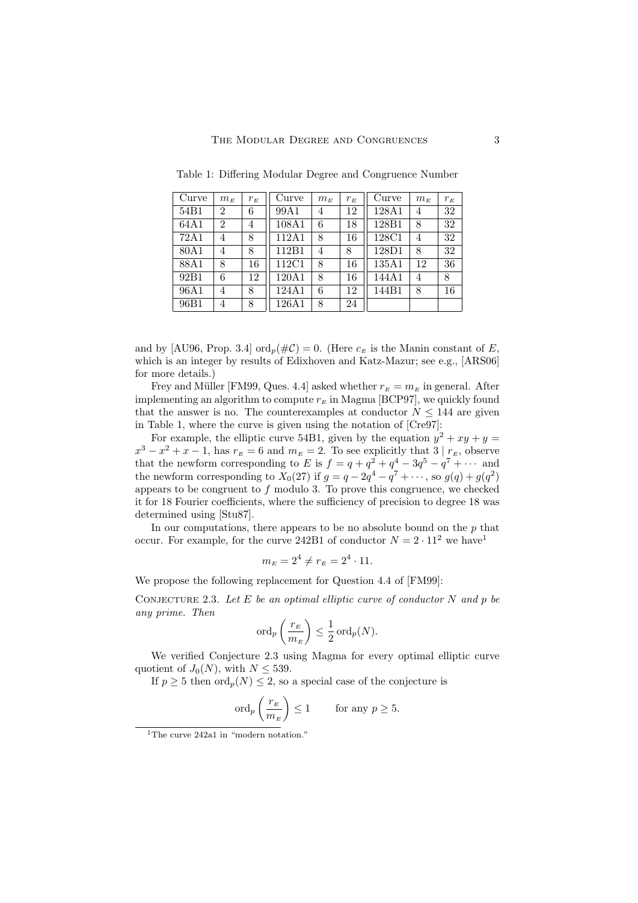| Curve            | $m_{\scriptscriptstyle E}$ | $r_{\scriptscriptstyle E}$ | Curve | $m_E$ | $r_E^{}$ | Curve | $m_E$ | $r_E$ |
|------------------|----------------------------|----------------------------|-------|-------|----------|-------|-------|-------|
| 54B1             | $\overline{2}$             | 6                          | 99A1  | 4     | 12       | 128A1 | 4     | 32    |
| 64A1             | $\overline{2}$             | 4                          | 108A1 | 6     | 18       | 128B1 | 8     | 32    |
| 72A1             | 4                          | 8                          | 112A1 | 8     | 16       | 128C1 | 4     | 32    |
| 80A1             | 4                          | 8                          | 112B1 | 4     | 8        | 128D1 | 8     | 32    |
| 88A1             | 8                          | 16                         | 112C1 | 8     | 16       | 135A1 | 12    | 36    |
| 92 <sub>B1</sub> | 6                          | 12                         | 120A1 | 8     | 16       | 144A1 | 4     | 8     |
| 96A1             | 4                          | 8                          | 124A1 | 6     | 12       | 144B1 | 8     | 16    |
| 96B1             | 4                          | 8                          | 126A1 | 8     | 24       |       |       |       |

Table 1: Differing Modular Degree and Congruence Number

and by [AU96, Prop. 3.4] ord<sub>n</sub>( $\#\mathcal{C}$ ) = 0. (Here  $c_E$  is the Manin constant of E, which is an integer by results of Edixhoven and Katz-Mazur; see e.g., [ARS06] for more details.)

Frey and Müller [FM99, Ques. 4.4] asked whether  $r_E = m_E$  in general. After implementing an algorithm to compute  $r_E$  in Magma [BCP97], we quickly found that the answer is no. The counterexamples at conductor  $N \leq 144$  are given in Table 1, where the curve is given using the notation of [Cre97]:

For example, the elliptic curve 54B1, given by the equation  $y^2 + xy + y =$  $x^3 - x^2 + x - 1$ , has  $r_E = 6$  and  $m_E = 2$ . To see explicitly that  $3 | r_E$ , observe that the newform corresponding to E is  $f = q + q^2 + q^4 - 3q^5 - q^7 + \cdots$  and the newform corresponding to  $X_0(27)$  if  $g = q - 2q^4 - q^7 + \cdots$ , so  $g(q) + g(q^2)$ appears to be congruent to  $f$  modulo 3. To prove this congruence, we checked it for 18 Fourier coefficients, where the sufficiency of precision to degree 18 was determined using [Stu87].

In our computations, there appears to be no absolute bound on the  $p$  that occur. For example, for the curve 242B1 of conductor  $N = 2 \cdot 11^2$  we have

$$
m_E = 2^4 \neq r_E = 2^4 \cdot 11.
$$

We propose the following replacement for Question 4.4 of [FM99]:

CONJECTURE 2.3. Let  $E$  be an optimal elliptic curve of conductor  $N$  and  $p$  be any prime. Then

$$
\operatorname{ord}_p\left(\frac{r_E}{m_E}\right) \le \frac{1}{2}\operatorname{ord}_p(N).
$$

We verified Conjecture 2.3 using Magma for every optimal elliptic curve quotient of  $J_0(N)$ , with  $N \leq 539$ .

If  $p \geq 5$  then  $\text{ord}_p(N) \leq 2$ , so a special case of the conjecture is

$$
\operatorname{ord}_p\left(\frac{r_E}{m_E}\right) \le 1 \qquad \text{for any } p \ge 5.
$$

<sup>&</sup>lt;sup>1</sup>The curve 242a1 in "modern notation."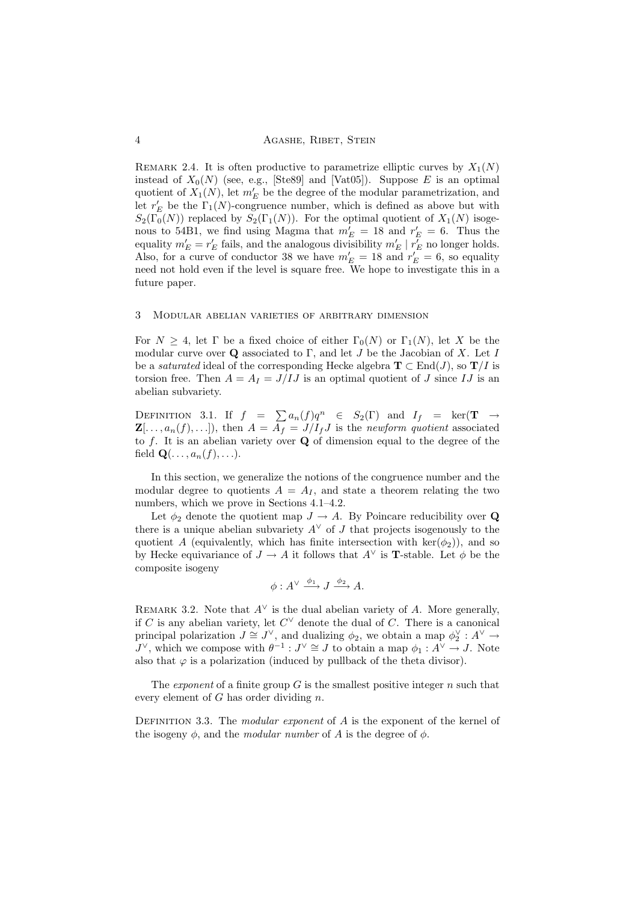REMARK 2.4. It is often productive to parametrize elliptic curves by  $X_1(N)$ instead of  $X_0(N)$  (see, e.g., [Ste89] and [Vat05]). Suppose E is an optimal quotient of  $X_1(N)$ , let  $m'_E$  be the degree of the modular parametrization, and let  $r'_E$  be the  $\Gamma_1(N)$ -congruence number, which is defined as above but with  $S_2(\Gamma_0(N))$  replaced by  $S_2(\Gamma_1(N))$ . For the optimal quotient of  $X_1(N)$  isogenous to 54B1, we find using Magma that  $m_E' = 18$  and  $r_E' = 6$ . Thus the equality  $m'_E = r'_E$  fails, and the analogous divisibility  $m'_E \mid r'_E$  no longer holds. Also, for a curve of conductor 38 we have  $m'_E = 18$  and  $r'_E = 6$ , so equality need not hold even if the level is square free. We hope to investigate this in a future paper.

## 3 Modular abelian varieties of arbitrary dimension

For  $N \geq 4$ , let  $\Gamma$  be a fixed choice of either  $\Gamma_0(N)$  or  $\Gamma_1(N)$ , let X be the modular curve over  $\bf{Q}$  associated to  $\Gamma$ , and let  $J$  be the Jacobian of  $X$ . Let  $I$ be a *saturated* ideal of the corresponding Hecke algebra  $T \subset End(J)$ , so  $T/I$  is torsion free. Then  $A = A_I = J/IJ$  is an optimal quotient of J since IJ is an abelian subvariety.

DEFINITION 3.1. If  $f = \sum a_n(f)q^n \in S_2(\Gamma)$  and  $I_f = \ker(\mathbf{T} \to \mathbf{I})$  $\mathbf{Z}[\ldots, a_n(f), \ldots]$ , then  $A = \overline{A}_f = J/I_fJ$  is the newform quotient associated to  $f$ . It is an abelian variety over  $Q$  of dimension equal to the degree of the field  $\mathbf{Q}(\ldots, a_n(f), \ldots).$ 

In this section, we generalize the notions of the congruence number and the modular degree to quotients  $A = A<sub>I</sub>$ , and state a theorem relating the two numbers, which we prove in Sections 4.1–4.2.

Let  $\phi_2$  denote the quotient map  $J \to A$ . By Poincare reducibility over Q there is a unique abelian subvariety  $A^{\vee}$  of J that projects isogenously to the quotient A (equivalently, which has finite intersection with  $\text{ker}(\phi_2)$ ), and so by Hecke equivariance of  $J \to A$  it follows that  $A^{\vee}$  is **T**-stable. Let  $\phi$  be the composite isogeny

$$
\phi: A^{\vee} \xrightarrow{\phi_1} J \xrightarrow{\phi_2} A.
$$

REMARK 3.2. Note that  $A^{\vee}$  is the dual abelian variety of A. More generally, if C is any abelian variety, let  $C^{\vee}$  denote the dual of C. There is a canonical principal polarization  $J \cong J^{\vee}$ , and dualizing  $\phi_2$ , we obtain a map  $\phi_2^{\vee} : A^{\vee} \to$  $J^{\vee}$ , which we compose with  $\theta^{-1}: J^{\vee} \cong J$  to obtain a map  $\phi_1: A^{\vee} \to J$ . Note also that  $\varphi$  is a polarization (induced by pullback of the theta divisor).

The *exponent* of a finite group  $G$  is the smallest positive integer  $n$  such that every element of  $G$  has order dividing  $n$ .

DEFINITION 3.3. The modular exponent of  $A$  is the exponent of the kernel of the isogeny  $\phi$ , and the *modular number* of A is the degree of  $\phi$ .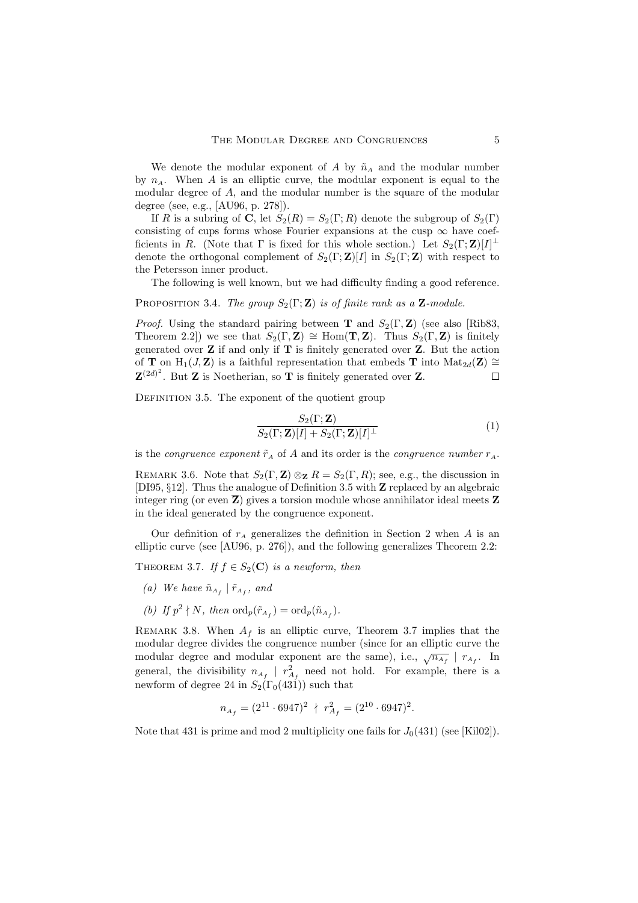We denote the modular exponent of A by  $\tilde{n}_A$  and the modular number by  $n_A$ . When A is an elliptic curve, the modular exponent is equal to the modular degree of A, and the modular number is the square of the modular degree (see, e.g., [AU96, p. 278]).

If R is a subring of C, let  $S_2(R) = S_2(\Gamma; R)$  denote the subgroup of  $S_2(\Gamma)$ consisting of cups forms whose Fourier expansions at the cusp  $\infty$  have coefficients in R. (Note that  $\Gamma$  is fixed for this whole section.) Let  $S_2(\Gamma;\mathbf{Z})[I]^{\perp}$ denote the orthogonal complement of  $S_2(\Gamma;\mathbf{Z})[I]$  in  $S_2(\Gamma;\mathbf{Z})$  with respect to the Petersson inner product.

The following is well known, but we had difficulty finding a good reference.

PROPOSITION 3.4. The group  $S_2(\Gamma;\mathbf{Z})$  is of finite rank as a  $\mathbf{Z}\text{-module}$ .

*Proof.* Using the standard pairing between **T** and  $S_2(\Gamma, \mathbf{Z})$  (see also [Rib83, Theorem 2.2]) we see that  $S_2(\Gamma, \mathbf{Z}) \cong \text{Hom}(\mathbf{T}, \mathbf{Z})$ . Thus  $S_2(\Gamma, \mathbf{Z})$  is finitely generated over  $Z$  if and only if  $T$  is finitely generated over  $Z$ . But the action of **T** on H<sub>1</sub>(*J*, **Z**) is a faithful representation that embeds **T** into  $Mat_{2d}(\mathbf{Z}) \cong$  $\mathbf{Z}^{(2d)^2}$ . But **Z** is Noetherian, so **T** is finitely generated over **Z**.  $\Box$ 

DEFINITION 3.5. The exponent of the quotient group

$$
\frac{S_2(\Gamma; \mathbf{Z})}{S_2(\Gamma; \mathbf{Z})[I] + S_2(\Gamma; \mathbf{Z})[I]^{\perp}}
$$
\n(1)

is the *congruence exponent*  $\tilde{r}_A$  of A and its order is the *congruence number*  $r_A$ .

REMARK 3.6. Note that  $S_2(\Gamma, \mathbf{Z}) \otimes_{\mathbf{Z}} R = S_2(\Gamma, R)$ ; see, e.g., the discussion in [DI95, §12]. Thus the analogue of Definition 3.5 with Z replaced by an algebraic integer ring (or even  $\overline{Z}$ ) gives a torsion module whose annihilator ideal meets  $Z$ in the ideal generated by the congruence exponent.

Our definition of  $r_A$  generalizes the definition in Section 2 when A is an elliptic curve (see [AU96, p. 276]), and the following generalizes Theorem 2.2:

THEOREM 3.7. If  $f \in S_2(\mathbf{C})$  is a newform, then

- (a) We have  $\tilde{n}_{A_f} | \tilde{r}_{A_f}$ , and
- (b) If  $p^2 \nmid N$ , then  $\text{ord}_p(\tilde{r}_{A_f}) = \text{ord}_p(\tilde{n}_{A_f}).$

REMARK 3.8. When  $A_f$  is an elliptic curve, Theorem 3.7 implies that the modular degree divides the congruence number (since for an elliptic curve the modular degree and modular exponent are the same), i.e.,  $\sqrt{n_{A_f}} \mid r_{A_f}$ . In general, the divisibility  $n_{A_f}$  |  $r_{A_f}^2$  need not hold. For example, there is a newform of degree 24 in  $S_2(\Gamma_0(431))$  such that

$$
n_{A_f} = (2^{11} \cdot 6947)^2 \, \nmid \, r_{A_f}^2 = (2^{10} \cdot 6947)^2.
$$

Note that 431 is prime and mod 2 multiplicity one fails for  $J_0(431)$  (see [Kil02]).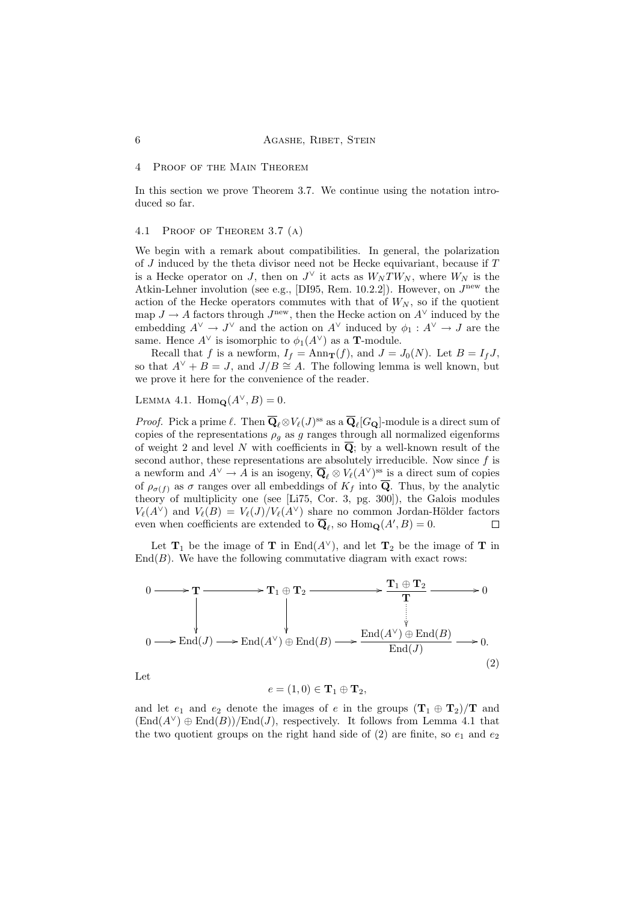## 6 **AGASHE, RIBET, STEIN**

## 4 Proof of the Main Theorem

In this section we prove Theorem 3.7. We continue using the notation introduced so far.

## 4.1 Proof of Theorem 3.7 (a)

We begin with a remark about compatibilities. In general, the polarization of  $J$  induced by the theta divisor need not be Hecke equivariant, because if  $T$ is a Hecke operator on J, then on  $J^{\vee}$  it acts as  $W_{N}TW_{N}$ , where  $W_{N}$  is the Atkin-Lehner involution (see e.g., [DI95, Rem. 10.2.2]). However, on  $J^{\text{new}}$  the action of the Hecke operators commutes with that of  $W_N$ , so if the quotient map  $J \to A$  factors through  $J^{\text{new}}$ , then the Hecke action on  $A^{\vee}$  induced by the embedding  $A^{\vee} \to J^{\vee}$  and the action on  $A^{\vee}$  induced by  $\phi_1 : A^{\vee} \to J$  are the same. Hence  $A^{\vee}$  is isomorphic to  $\phi_1(A^{\vee})$  as a **T**-module.

Recall that f is a newform,  $I_f = \text{Ann}_{\mathbf{T}}(f)$ , and  $J = J_0(N)$ . Let  $B = I_f J$ , so that  $A^{\vee} + B = J$ , and  $J/B \cong A$ . The following lemma is well known, but we prove it here for the convenience of the reader.

LEMMA 4.1.  $\text{Hom}_{\mathbf{Q}}(A^{\vee}, B) = 0.$ 

*Proof.* Pick a prime  $\ell$ . Then  $\overline{Q}_{\ell} \otimes V_{\ell}(J)^{ss}$  as a  $\overline{Q}_{\ell}[G_{\mathbf{Q}}]$ -module is a direct sum of copies of the representations  $\rho_q$  as g ranges through all normalized eigenforms of weight 2 and level N with coefficients in  $Q$ ; by a well-known result of the second author, these representations are absolutely irreducible. Now since  $f$  is a newform and  $A^{\vee} \to A$  is an isogeny,  $\overline{\mathbf{Q}}_{\ell} \otimes V_{\ell}(A^{\vee})^{\text{ss}}$  is a direct sum of copies of  $\rho_{\sigma(f)}$  as  $\sigma$  ranges over all embeddings of  $K_f$  into  $\overline{Q}$ . Thus, by the analytic theory of multiplicity one (see [Li75, Cor. 3, pg. 300]), the Galois modules  $V_{\ell}(A^{\vee})$  and  $V_{\ell}(B) = V_{\ell}(J)/V_{\ell}(A^{\vee})$  share no common Jordan-Hölder factors even when coefficients are extended to  $\overline{\mathbf{Q}}_{\ell}$ , so  $\text{Hom}_{\mathbf{Q}}(A',B) = 0$ .  $\Box$ 

Let  $T_1$  be the image of T in End( $A^{\vee}$ ), and let  $T_2$  be the image of T in  $\text{End}(B)$ . We have the following commutative diagram with exact rows:

$$
0 \longrightarrow T \longrightarrow T_1 \oplus T_2 \longrightarrow \begin{array}{c} T_1 \oplus T_2 \\ \downarrow \\ \downarrow \\ 0 \longrightarrow \text{End}(J) \longrightarrow \text{End}(A^{\vee}) \oplus \text{End}(B) \longrightarrow \begin{array}{c} \text{End}(A^{\vee}) \oplus \text{End}(B) \\ \downarrow \\ \text{End}(J) \end{array} \longrightarrow 0. \tag{2}
$$

Let

$$
e = (1,0) \in \mathbf{T}_1 \oplus \mathbf{T}_2,
$$

and let  $e_1$  and  $e_2$  denote the images of e in the groups  $(\mathbf{T}_1 \oplus \mathbf{T}_2)/\mathbf{T}$  and  $(\text{End}(A^{\vee}) \oplus \text{End}(B))/\text{End}(J)$ , respectively. It follows from Lemma 4.1 that the two quotient groups on the right hand side of  $(2)$  are finite, so  $e_1$  and  $e_2$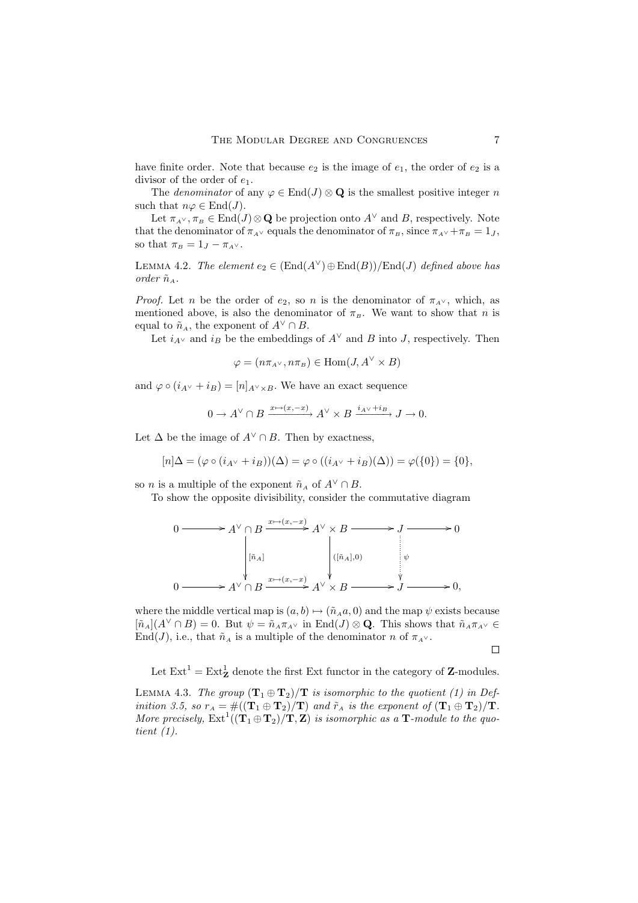have finite order. Note that because  $e_2$  is the image of  $e_1$ , the order of  $e_2$  is a divisor of the order of  $e_1$ .

The *denominator* of any  $\varphi \in \text{End}(J) \otimes \mathbf{Q}$  is the smallest positive integer n such that  $n\varphi \in \text{End}(J)$ .

Let  $\pi_{A} \vee, \pi_B \in \text{End}(J) \otimes \mathbf{Q}$  be projection onto  $A^{\vee}$  and B, respectively. Note that the denominator of  $\pi_{A} \vee$  equals the denominator of  $\pi_B$ , since  $\pi_{A} \vee + \pi_B = 1_J$ , so that  $\pi_B = 1_J - \pi_{A} \vee$ .

LEMMA 4.2. The element  $e_2 \in (End(A^{\vee}) \oplus End(B))/End(J)$  defined above has order  $\tilde{n}_A$ .

*Proof.* Let n be the order of  $e_2$ , so n is the denominator of  $\pi_{A}$ , which, as mentioned above, is also the denominator of  $\pi_B$ . We want to show that n is equal to  $\tilde{n}_A$ , the exponent of  $A^{\vee} \cap B$ .

Let  $i_{A}$ <sup>v</sup> and  $i_B$  be the embeddings of  $A^{\vee}$  and B into J, respectively. Then

$$
\varphi = (n\pi_{A} \vee, n\pi_{B}) \in \text{Hom}(J, A^{\vee} \times B)
$$

and  $\varphi \circ (i_{A} \vee + i_{B}) = [n]_{A^{\vee} \times B}$ . We have an exact sequence

$$
0 \to A^{\vee} \cap B \xrightarrow{x \mapsto (x, -x)} A^{\vee} \times B \xrightarrow{i_{A^{\vee}} + i_B} J \to 0.
$$

Let  $\Delta$  be the image of  $A^{\vee} \cap B$ . Then by exactness,

$$
[n]\Delta = (\varphi \circ (i_{A^{\vee}} + i_B))(\Delta) = \varphi \circ ((i_{A^{\vee}} + i_B)(\Delta)) = \varphi(\{0\}) = \{0\},\
$$

so *n* is a multiple of the exponent  $\tilde{n}_A$  of  $A^{\vee} \cap B$ .

To show the opposite divisibility, consider the commutative diagram

$$
0 \longrightarrow A^{\vee} \cap B \xrightarrow{x \mapsto (x, -x)} A^{\vee} \times B \longrightarrow J \longrightarrow 0
$$
  
\n
$$
\downarrow [\tilde{n}_A] \qquad \qquad [\tilde{n}_A, 0)
$$
  
\n
$$
0 \longrightarrow A^{\vee} \cap B \xrightarrow{x \mapsto (x, -x)} A^{\vee} \times B \longrightarrow J \longrightarrow 0,
$$

where the middle vertical map is  $(a, b) \mapsto (\tilde{n}_A a, 0)$  and the map  $\psi$  exists because  $[\tilde{n}_A](A^{\vee} \cap B) = 0$ . But  $\psi = \tilde{n}_A \pi_{A^{\vee}}$  in End $(J) \otimes \mathbf{Q}$ . This shows that  $\tilde{n}_A \pi_{A^{\vee}} \in$ End(J), i.e., that  $\tilde{n}_A$  is a multiple of the denominator n of  $\pi_{A} \vee$ .

 $\Box$ 

Let  $\text{Ext}^1 = \text{Ext}^1_{\mathbf{Z}}$  denote the first Ext functor in the category of  $\mathbf{Z}$ -modules.

LEMMA 4.3. The group  $(\mathbf{T}_1 \oplus \mathbf{T}_2)/\mathbf{T}$  is isomorphic to the quotient (1) in Definition 3.5, so  $r_A = #((\mathbf{T}_1 \oplus \mathbf{T}_2)/\mathbf{T})$  and  $\tilde{r}_A$  is the exponent of  $(\mathbf{T}_1 \oplus \mathbf{T}_2)/\mathbf{T}$ . More precisely,  $Ext^1((\mathbf{T}_1 \oplus \mathbf{T}_2)/\mathbf{T}, \mathbf{Z})$  is isomorphic as a  $\mathbf{T}$ -module to the quotient (1).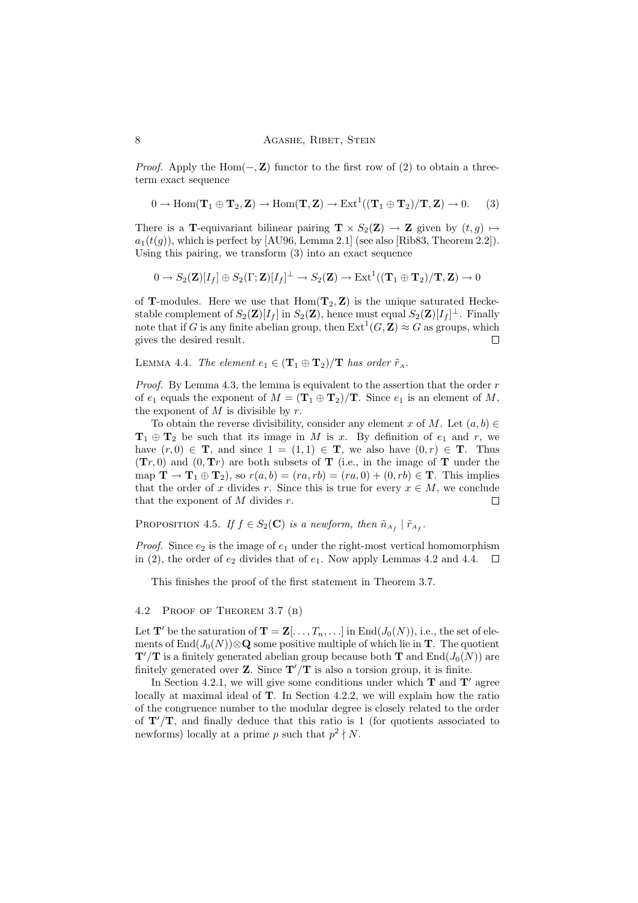*Proof.* Apply the Hom( $\mathbf{-}, \mathbf{Z}$ ) functor to the first row of (2) to obtain a threeterm exact sequence

$$
0 \to \operatorname{Hom}(\mathbf{T}_1 \oplus \mathbf{T}_2, \mathbf{Z}) \to \operatorname{Hom}(\mathbf{T}, \mathbf{Z}) \to \operatorname{Ext}^1((\mathbf{T}_1 \oplus \mathbf{T}_2)/\mathbf{T}, \mathbf{Z}) \to 0. \tag{3}
$$

There is a T-equivariant bilinear pairing  $\mathbf{T} \times S_2(\mathbf{Z}) \to \mathbf{Z}$  given by  $(t, g) \mapsto$  $a_1(t(g))$ , which is perfect by [AU96, Lemma 2.1] (see also [Rib83, Theorem 2.2]). Using this pairing, we transform (3) into an exact sequence

$$
0\rightarrow S_2({\bf Z})[I_f]\oplus S_2(\Gamma;{\bf Z})[I_f]^\perp\rightarrow S_2({\bf Z})\rightarrow \mathrm{Ext}^1((\mathbf{T}_1\oplus\mathbf{T}_2)/\mathbf{T},{\bf Z})\rightarrow 0
$$

of **T**-modules. Here we use that  $Hom(T_2, Z)$  is the unique saturated Heckestable complement of  $S_2(\mathbf{Z})[I_f]$  in  $S_2(\mathbf{Z})$ , hence must equal  $S_2(\mathbf{Z})[I_f]^\perp$ . Finally note that if G is any finite abelian group, then  $\mathrm{Ext}^1(G,\mathbf{Z})\approx G$  as groups, which gives the desired result. П

LEMMA 4.4. The element  $e_1 \in (\mathbf{T}_1 \oplus \mathbf{T}_2)/\mathbf{T}$  has order  $\tilde{r}_A$ .

*Proof.* By Lemma 4.3, the lemma is equivalent to the assertion that the order  $r$ of  $e_1$  equals the exponent of  $M = (\mathbf{T}_1 \oplus \mathbf{T}_2)/\mathbf{T}$ . Since  $e_1$  is an element of M, the exponent of  $M$  is divisible by  $r$ .

To obtain the reverse divisibility, consider any element x of M. Let  $(a, b) \in$  $T_1 \oplus T_2$  be such that its image in M is x. By definition of  $e_1$  and r, we have  $(r, 0) \in \mathbf{T}$ , and since  $1 = (1, 1) \in \mathbf{T}$ , we also have  $(0, r) \in \mathbf{T}$ . Thus  $(Tr, 0)$  and  $(0, Tr)$  are both subsets of T (i.e., in the image of T under the map  $\mathbf{T} \to \mathbf{T}_1 \oplus \mathbf{T}_2$ , so  $r(a, b) = (ra, rb) = (ra, 0) + (0, rb) \in \mathbf{T}$ . This implies that the order of x divides r. Since this is true for every  $x \in M$ , we conclude that the exponent of  $M$  divides  $r$ .  $\Box$ 

PROPOSITION 4.5. If  $f \in S_2(\mathbf{C})$  is a newform, then  $\tilde{n}_{A_f} \mid \tilde{r}_{A_f}$ .

*Proof.* Since  $e_2$  is the image of  $e_1$  under the right-most vertical homomorphism in (2), the order of  $e_2$  divides that of  $e_1$ . Now apply Lemmas 4.2 and 4.4.  $\Box$ 

This finishes the proof of the first statement in Theorem 3.7.

## 4.2 Proof of Theorem 3.7 (b)

Let  $\mathbf{T}'$  be the saturation of  $\mathbf{T} = \mathbf{Z}[\ldots, T_n, \ldots]$  in End $(J_0(N))$ , i.e., the set of elements of End $(J_0(N))\otimes \mathbf{Q}$  some positive multiple of which lie in **T**. The quotient  $\mathbf{T}'/\mathbf{T}$  is a finitely generated abelian group because both  $\mathbf{T}$  and  $\text{End}(J_0(N))$  are finitely generated over **Z**. Since  $T'/T$  is also a torsion group, it is finite.

In Section 4.2.1, we will give some conditions under which  $T$  and  $T'$  agree locally at maximal ideal of T. In Section 4.2.2, we will explain how the ratio of the congruence number to the modular degree is closely related to the order of  $T'/T$ , and finally deduce that this ratio is 1 (for quotients associated to newforms) locally at a prime p such that  $p^2 \nmid N$ .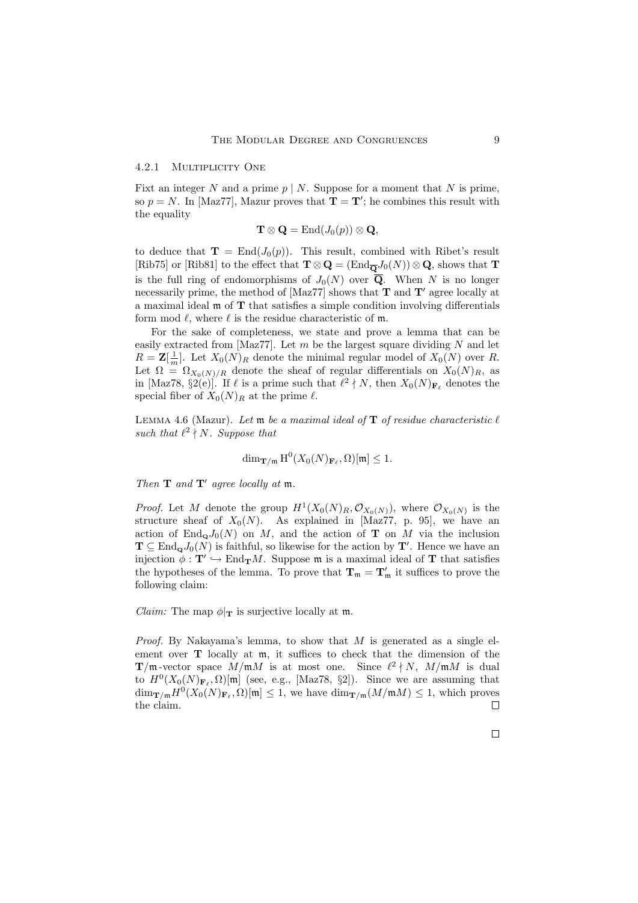#### 4.2.1 MULTIPLICITY ONE

Fixt an integer N and a prime  $p \mid N$ . Suppose for a moment that N is prime, so  $p = N$ . In [Maz77], Mazur proves that  $\mathbf{T} = \mathbf{T}'$ ; he combines this result with the equality

$$
\mathbf{T}\otimes\mathbf{Q}=\mathrm{End}(J_0(p))\otimes\mathbf{Q},
$$

to deduce that  $\mathbf{T} = \text{End}(J_0(p))$ . This result, combined with Ribet's result [Rib75] or [Rib81] to the effect that  $\mathbf{T} \otimes \mathbf{Q} = (\text{End}_{\overline{\mathbf{Q}}} J_0(N)) \otimes \mathbf{Q}$ , shows that  $\mathbf{T}$ is the full ring of endomorphisms of  $J_0(N)$  over  $\overline{Q}$ . When N is no longer necessarily prime, the method of [Maz77] shows that  $T$  and  $T'$  agree locally at a maximal ideal m of T that satisfies a simple condition involving differentials form mod  $\ell$ , where  $\ell$  is the residue characteristic of m.

For the sake of completeness, we state and prove a lemma that can be easily extracted from [Maz77]. Let  $m$  be the largest square dividing  $N$  and let  $R = \mathbf{Z}[\frac{1}{m}]$ . Let  $X_0(N)_R$  denote the minimal regular model of  $X_0(N)$  over R. Let  $\Omega = \Omega_{X_0(N)/R}$  denote the sheaf of regular differentials on  $X_0(N)_R$ , as in [Maz78, §2(e)]. If  $\ell$  is a prime such that  $\ell^2 \nmid N$ , then  $X_0(N)_{\mathbf{F}_{\ell}}$  denotes the special fiber of  $X_0(N)_R$  at the prime  $\ell$ .

LEMMA 4.6 (Mazur). Let  $\mathfrak m$  be a maximal ideal of  $T$  of residue characteristic  $\ell$ such that  $\ell^2 \nmid N$ . Suppose that

$$
\dim_{\mathbf{T/m}} \mathrm{H}^{0}(X_0(N)_{\mathbf{F}_{\ell}}, \Omega)[\mathfrak{m}] \leq 1.
$$

Then  $\mathbf T$  and  $\mathbf T'$  agree locally at  $\mathfrak m$ .

*Proof.* Let M denote the group  $H^1(X_0(N)_R, \mathcal{O}_{X_0(N)})$ , where  $\mathcal{O}_{X_0(N)}$  is the structure sheaf of  $X_0(N)$ . As explained in [Maz77, p. 95], we have an action of End<sub>o</sub> $J_0(N)$  on M, and the action of T on M via the inclusion  $\mathbf{T} \subseteq \text{End}_{\mathbf{Q}}J_0(N)$  is faithful, so likewise for the action by  $\mathbf{T}'$ . Hence we have an injection  $\phi : \mathbf{T}' \hookrightarrow \text{End}_{\mathbf{T}}M$ . Suppose  $\mathfrak{m}$  is a maximal ideal of  $\mathbf T$  that satisfies the hypotheses of the lemma. To prove that  $T_m = T'_m$  it suffices to prove the following claim:

*Claim:* The map  $\phi|_{\mathbf{T}}$  is surjective locally at m.

*Proof.* By Nakayama's lemma, to show that  $M$  is generated as a single element over **T** locally at  $m$ , it suffices to check that the dimension of the  $\mathbf{T}/\mathfrak{m}$ -vector space  $M/\mathfrak{m}M$  is at most one. Since  $\ell^2 \nmid N$ ,  $M/\mathfrak{m}M$  is dual to  $H^0(X_0(N)_{\mathbf{F}_\ell}, \Omega)[\mathfrak{m}]$  (see, e.g., [Maz78, §2]). Since we are assuming that  $\dim_{\mathbf{T/m}} H^0(X_0(N)_{\mathbf{F}_{\ell}}, \Omega)[\mathfrak{m}] \leq 1$ , we have  $\dim_{\mathbf{T/m}}(M/\mathfrak{m}M) \leq 1$ , which proves the claim. $\Box$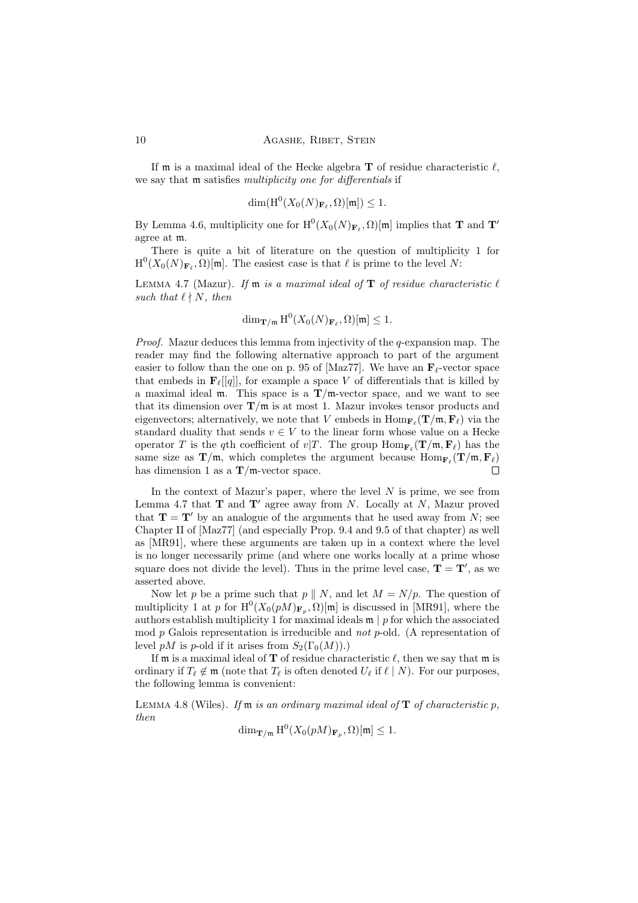If  $\mathfrak m$  is a maximal ideal of the Hecke algebra **T** of residue characteristic  $\ell$ , we say that **m** satisfies *multiplicity* one for differentials if

$$
\dim(\mathrm{H}^0(X_0(N)_{\mathbf{F}_{\ell}},\Omega)[\mathfrak{m}])\leq 1.
$$

By Lemma 4.6, multiplicity one for  $\mathrm{H}^{0}(X_0(N)_{\mathbf{F}_{\ell}}, \Omega)[\mathfrak{m}]$  implies that **T** and **T'** agree at m.

There is quite a bit of literature on the question of multiplicity 1 for  $H^0(X_0(N)_{\mathbf{F}_\ell}, \Omega)[\mathfrak{m}].$  The easiest case is that  $\ell$  is prime to the level N:

LEMMA 4.7 (Mazur). If  $m$  is a maximal ideal of  $T$  of residue characteristic  $\ell$ such that  $\ell \nmid N$ , then

$$
\dim_{\mathbf{T}/\mathfrak{m}} \mathrm{H}^{0}(X_0(N)_{\mathbf{F}_{\ell}}, \Omega)[\mathfrak{m}] \leq 1.
$$

*Proof.* Mazur deduces this lemma from injectivity of the  $q$ -expansion map. The reader may find the following alternative approach to part of the argument easier to follow than the one on p. 95 of [Maz77]. We have an  $\mathbf{F}_{\ell}$ -vector space that embeds in  $\mathbf{F}_{\ell}[[q]]$ , for example a space V of differentials that is killed by a maximal ideal m. This space is a  $T/m$ -vector space, and we want to see that its dimension over  $\mathbf{T}/m$  is at most 1. Mazur invokes tensor products and eigenvectors; alternatively, we note that V embeds in  $\mathrm{Hom}_{\mathbf{F}_{\ell}}(\mathbf{T}/\mathfrak{m}, \mathbf{F}_{\ell})$  via the standard duality that sends  $v \in V$  to the linear form whose value on a Hecke operator T is the qth coefficient of  $v/T$ . The group  $\text{Hom}_{\mathbf{F}_{\ell}}(\mathbf{T}/\mathfrak{m}, \mathbf{F}_{\ell})$  has the same size as  $\mathbf{T}/\mathfrak{m}$ , which completes the argument because  $\text{Hom}_{\mathbf{F}_{\ell}}(\mathbf{T}/\mathfrak{m}, \mathbf{F}_{\ell})$ has dimension 1 as a  $T/m$ -vector space.  $\Box$ 

In the context of Mazur's paper, where the level  $N$  is prime, we see from Lemma 4.7 that  $\mathbf T$  and  $\mathbf T'$  agree away from N. Locally at N, Mazur proved that  $\mathbf{T} = \mathbf{T}'$  by an analogue of the arguments that he used away from N; see Chapter II of [Maz77] (and especially Prop. 9.4 and 9.5 of that chapter) as well as [MR91], where these arguments are taken up in a context where the level is no longer necessarily prime (and where one works locally at a prime whose square does not divide the level). Thus in the prime level case,  $T = T'$ , as we asserted above.

Now let p be a prime such that  $p \parallel N$ , and let  $M = N/p$ . The question of multiplicity 1 at p for  $H^0(X_0(pM)_{\mathbf{F}_p}, \Omega)[m]$  is discussed in [MR91], where the authors establish multiplicity 1 for maximal ideals  $\mathfrak{m} \mid p$  for which the associated mod  $p$  Galois representation is irreducible and not p-old. (A representation of level pM is p-old if it arises from  $S_2(\Gamma_0(M))$ .)

If m is a maximal ideal of **T** of residue characteristic  $\ell$ , then we say that m is ordinary if  $T_\ell \notin \mathfrak{m}$  (note that  $T_\ell$  is often denoted  $U_\ell$  if  $\ell \mid N$ ). For our purposes, the following lemma is convenient:

LEMMA 4.8 (Wiles). If  $m$  is an ordinary maximal ideal of  $T$  of characteristic p, then

$$
\dim_{\mathbf{T}/\mathfrak{m}} H^0(X_0(pM)_{\mathbf{F}_p}, \Omega)[\mathfrak{m}] \le 1.
$$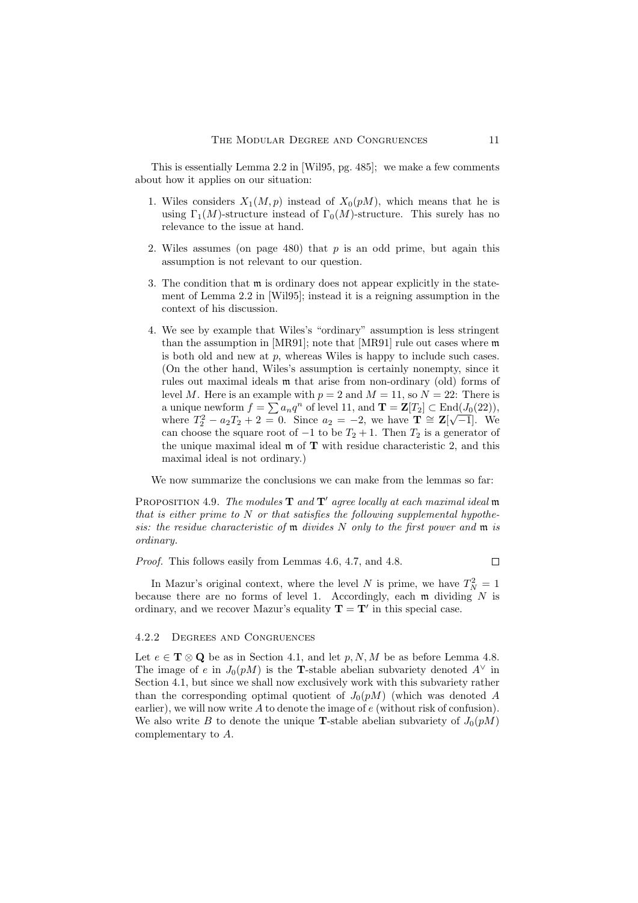This is essentially Lemma 2.2 in [Wil95, pg. 485]; we make a few comments about how it applies on our situation:

- 1. Wiles considers  $X_1(M, p)$  instead of  $X_0(pM)$ , which means that he is using  $\Gamma_1(M)$ -structure instead of  $\Gamma_0(M)$ -structure. This surely has no relevance to the issue at hand.
- 2. Wiles assumes (on page 480) that  $p$  is an odd prime, but again this assumption is not relevant to our question.
- 3. The condition that m is ordinary does not appear explicitly in the statement of Lemma 2.2 in [Wil95]; instead it is a reigning assumption in the context of his discussion.
- 4. We see by example that Wiles's "ordinary" assumption is less stringent than the assumption in [MR91]; note that [MR91] rule out cases where m is both old and new at  $p$ , whereas Wiles is happy to include such cases. (On the other hand, Wiles's assumption is certainly nonempty, since it rules out maximal ideals m that arise from non-ordinary (old) forms of level M. Here is an example with  $p = 2$  and  $M = 11$ , so  $N = 22$ : There is a unique newform  $f = \sum a_n q^n$  of level 11, and  $\mathbf{T} = \mathbf{Z}[T_2] \subset \text{End}(J_0(22))$ , where  $T_2^2 - a_2T_2 + 2 = 0$ . Since  $a_2 = -2$ , we have  $\mathbf{T} \cong \mathbf{Z}[\sqrt{-1}]$ . We can choose the square root of  $-1$  to be  $T_2 + 1$ . Then  $T_2$  is a generator of the unique maximal ideal  $\mathfrak m$  of  $T$  with residue characteristic 2, and this maximal ideal is not ordinary.)

We now summarize the conclusions we can make from the lemmas so far:

PROPOSITION 4.9. The modules  $\mathbf T$  and  $\mathbf T'$  agree locally at each maximal ideal m that is either prime to  $N$  or that satisfies the following supplemental hypothesis: the residue characteristic of  $m$  divides N only to the first power and  $m$  is ordinary.

Proof. This follows easily from Lemmas 4.6, 4.7, and 4.8.

In Mazur's original context, where the level N is prime, we have  $T_N^2 = 1$ because there are no forms of level 1. Accordingly, each  $m$  dividing  $N$  is ordinary, and we recover Mazur's equality  $\mathbf{T} = \mathbf{T}'$  in this special case.

## 4.2.2 Degrees and Congruences

Let  $e \in \mathbf{T} \otimes \mathbf{Q}$  be as in Section 4.1, and let  $p, N, M$  be as before Lemma 4.8. The image of e in  $J_0(pM)$  is the T-stable abelian subvariety denoted  $A^{\vee}$  in Section 4.1, but since we shall now exclusively work with this subvariety rather than the corresponding optimal quotient of  $J_0(pM)$  (which was denoted A earlier), we will now write  $A$  to denote the image of  $e$  (without risk of confusion). We also write B to denote the unique **T**-stable abelian subvariety of  $J_0(pM)$ complementary to A.

 $\Box$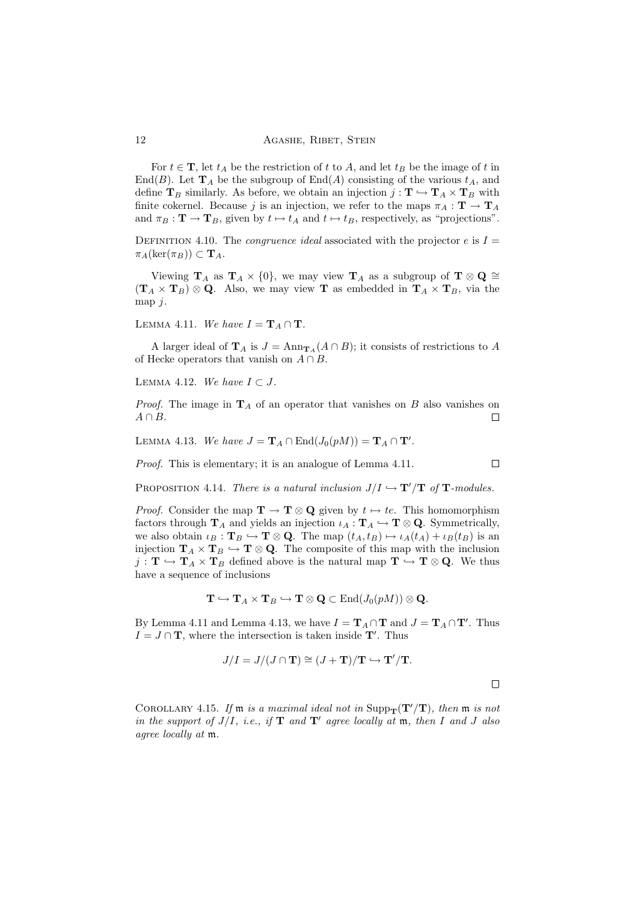12 **AGASHE, RIBET, STEIN** 

For  $t \in \mathbf{T}$ , let  $t_A$  be the restriction of t to A, and let  $t_B$  be the image of t in End(B). Let  $\mathbf{T}_A$  be the subgroup of End(A) consisting of the various  $t_A$ , and define  $T_B$  similarly. As before, we obtain an injection  $j: T \hookrightarrow T_A \times T_B$  with finite cokernel. Because j is an injection, we refer to the maps  $\pi_A : \mathbf{T} \to \mathbf{T}_A$ and  $\pi_B : \mathbf{T} \to \mathbf{T}_B$ , given by  $t \mapsto t_A$  and  $t \mapsto t_B$ , respectively, as "projections".

DEFINITION 4.10. The *congruence ideal* associated with the projector e is  $I =$  $\pi_A(\ker(\pi_B)) \subset \mathbf{T}_A$ .

Viewing  $\mathbf{T}_A$  as  $\mathbf{T}_A \times \{0\}$ , we may view  $\mathbf{T}_A$  as a subgroup of  $\mathbf{T} \otimes \mathbf{Q} \cong \mathbf{Z}$  $(\mathbf{T}_A \times \mathbf{T}_B) \otimes \mathbf{Q}$ . Also, we may view **T** as embedded in  $\mathbf{T}_A \times \mathbf{T}_B$ , via the map  $j$ .

LEMMA 4.11. We have  $I = \mathbf{T}_A \cap \mathbf{T}$ .

A larger ideal of  $\mathbf{T}_A$  is  $J = \text{Ann}_{\mathbf{T}_A}(A \cap B)$ ; it consists of restrictions to A of Hecke operators that vanish on  $A \cap B$ .

LEMMA 4.12. We have  $I \subset J$ .

*Proof.* The image in  $\mathbf{T}_A$  of an operator that vanishes on B also vanishes on  $A \cap B$ .  $\Box$ 

LEMMA 4.13. We have  $J = \mathbf{T}_A \cap \text{End}(J_0(pM)) = \mathbf{T}_A \cap \mathbf{T}'$ .

Proof. This is elementary; it is an analogue of Lemma 4.11.

 $\Box$ 

 $\Box$ 

PROPOSITION 4.14. There is a natural inclusion  $J/I \hookrightarrow T'/T$  of  $T$ -modules.

*Proof.* Consider the map  $\mathbf{T} \to \mathbf{T} \otimes \mathbf{Q}$  given by  $t \mapsto te$ . This homomorphism factors through  $\mathbf{T}_A$  and yields an injection  $\iota_A : \mathbf{T}_A \hookrightarrow \mathbf{T} \otimes \mathbf{Q}$ . Symmetrically, we also obtain  $\iota_B : \mathbf{T}_B \hookrightarrow \mathbf{T} \otimes \mathbf{Q}$ . The map  $(t_A, t_B) \mapsto \iota_A(t_A) + \iota_B(t_B)$  is an injection  $\mathbf{T}_A \times \mathbf{T}_B \hookrightarrow \mathbf{T} \otimes \mathbf{Q}$ . The composite of this map with the inclusion  $j: \mathbf{T} \hookrightarrow \mathbf{T}_A \times \mathbf{T}_B$  defined above is the natural map  $\mathbf{T} \hookrightarrow \mathbf{T} \otimes \mathbf{Q}$ . We thus have a sequence of inclusions

$$
\mathbf{T} \hookrightarrow \mathbf{T}_A \times \mathbf{T}_B \hookrightarrow \mathbf{T} \otimes \mathbf{Q} \subset \mathrm{End}(J_0(pM)) \otimes \mathbf{Q}.
$$

By Lemma 4.11 and Lemma 4.13, we have  $I = \mathbf{T}_A \cap \mathbf{T}$  and  $J = \mathbf{T}_A \cap \mathbf{T}'$ . Thus  $I = J \cap \mathbf{T}$ , where the intersection is taken inside  $\mathbf{T}'$ . Thus

$$
J/I = J/(J \cap \mathbf{T}) \cong (J + \mathbf{T})/\mathbf{T} \hookrightarrow \mathbf{T}'/\mathbf{T}.
$$

COROLLARY 4.15. If  $m$  is a maximal ideal not in  $\text{Supp}_{\textbf{T}}(\textbf{T}'/T)$ , then  $m$  is not in the support of  $J/I$ , i.e., if  $T$  and  $T'$  agree locally at  $m$ , then I and J also agree locally at m.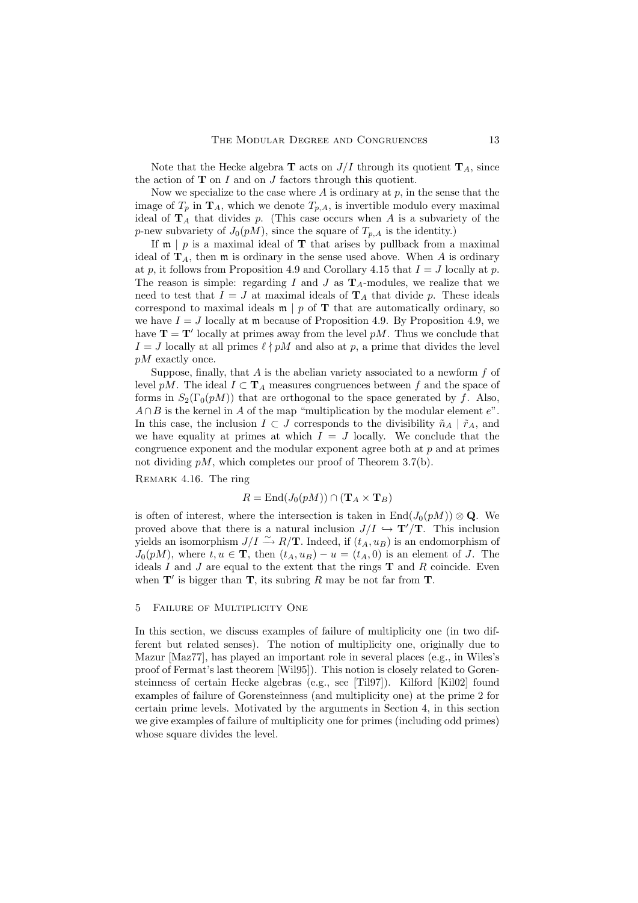Note that the Hecke algebra **T** acts on  $J/I$  through its quotient **T**<sub>A</sub>, since the action of  $T$  on  $I$  and on  $J$  factors through this quotient.

Now we specialize to the case where  $A$  is ordinary at  $p$ , in the sense that the image of  $T_p$  in  $\mathbf{T}_A$ , which we denote  $T_{p,A}$ , is invertible modulo every maximal ideal of  $T_A$  that divides p. (This case occurs when A is a subvariety of the p-new subvariety of  $J_0(pM)$ , since the square of  $T_{p,A}$  is the identity.)

If  $\mathfrak{m} \mid p$  is a maximal ideal of **T** that arises by pullback from a maximal ideal of  $\mathbf{T}_A$ , then  $\mathfrak{m}$  is ordinary in the sense used above. When A is ordinary at p, it follows from Proposition 4.9 and Corollary 4.15 that  $I = J$  locally at p. The reason is simple: regarding I and J as  $\mathbf{T}_A$ -modules, we realize that we need to test that  $I = J$  at maximal ideals of  $\mathbf{T}_A$  that divide p. These ideals correspond to maximal ideals  $\mathfrak{m} \mid p$  of **T** that are automatically ordinary, so we have  $I = J$  locally at m because of Proposition 4.9. By Proposition 4.9, we have  $\mathbf{T} = \mathbf{T}'$  locally at primes away from the level pM. Thus we conclude that  $I = J$  locally at all primes  $\ell \nmid pM$  and also at p, a prime that divides the level pM exactly once.

Suppose, finally, that  $A$  is the abelian variety associated to a newform  $f$  of level pM. The ideal  $I \subset T_A$  measures congruences between f and the space of forms in  $S_2(\Gamma_0(pM))$  that are orthogonal to the space generated by f. Also,  $A \cap B$  is the kernel in A of the map "multiplication by the modular element  $e$ ". In this case, the inclusion  $I \subset J$  corresponds to the divisibility  $\tilde{n}_A \mid \tilde{r}_A$ , and we have equality at primes at which  $I = J$  locally. We conclude that the congruence exponent and the modular exponent agree both at  $p$  and at primes not dividing  $pM$ , which completes our proof of Theorem 3.7(b).

Remark 4.16. The ring

$$
R = \text{End}(J_0(pM)) \cap (\mathbf{T}_A \times \mathbf{T}_B)
$$

is often of interest, where the intersection is taken in  $\text{End}(J_0(pM)) \otimes \mathbf{Q}$ . We proved above that there is a natural inclusion  $J/I \hookrightarrow T'/T$ . This inclusion yields an isomorphism  $J/I \xrightarrow{\sim} R/\mathbf{T}$ . Indeed, if  $(t_A, u_B)$  is an endomorphism of  $J_0(pM)$ , where  $t, u \in \mathbf{T}$ , then  $(t_A, u_B) - u = (t_A, 0)$  is an element of J. The ideals  $I$  and  $J$  are equal to the extent that the rings  $T$  and  $R$  coincide. Even when  $T'$  is bigger than  $T$ , its subring R may be not far from T.

## 5 Failure of Multiplicity One

In this section, we discuss examples of failure of multiplicity one (in two different but related senses). The notion of multiplicity one, originally due to Mazur [Maz77], has played an important role in several places (e.g., in Wiles's proof of Fermat's last theorem [Wil95]). This notion is closely related to Gorensteinness of certain Hecke algebras (e.g., see [Til97]). Kilford [Kil02] found examples of failure of Gorensteinness (and multiplicity one) at the prime 2 for certain prime levels. Motivated by the arguments in Section 4, in this section we give examples of failure of multiplicity one for primes (including odd primes) whose square divides the level.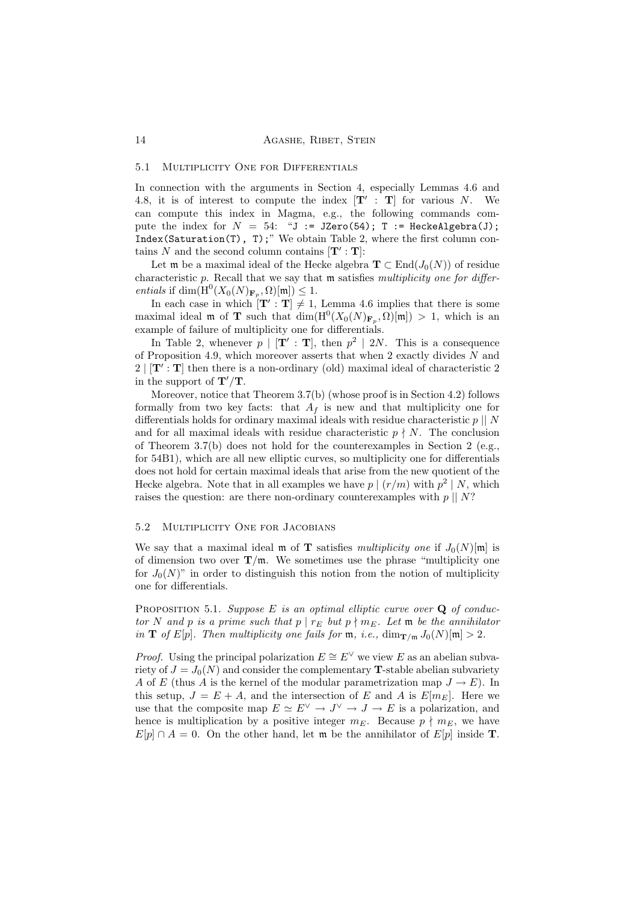### 5.1 Multiplicity One for Differentials

In connection with the arguments in Section 4, especially Lemmas 4.6 and 4.8, it is of interest to compute the index  $[T' : T]$  for various N. We can compute this index in Magma, e.g., the following commands compute the index for  $N = 54$ : "J := JZero(54); T := HeckeAlgebra(J); Index(Saturation(T), T);" We obtain Table 2, where the first column contains N and the second column contains  $[\mathbf{T}': \mathbf{T}]$ :

Let m be a maximal ideal of the Hecke algebra  $\mathbf{T} \subset \text{End}(J_0(N))$  of residue characteristic  $p$ . Recall that we say that  $m$  satisfies multiplicity one for differentials if  $\dim(\mathrm{H}^0(X_0(N)_{\mathbf{F}_p}, \Omega)[\mathfrak{m}]) \leq 1.$ 

In each case in which  $[T':T] \neq 1$ , Lemma 4.6 implies that there is some maximal ideal m of **T** such that  $\dim(\mathrm{H}^0(X_0(N)_{\mathbf{F}_p}, \Omega)[m]) > 1$ , which is an example of failure of multiplicity one for differentials.

In Table 2, whenever  $p \mid [\mathbf{T}' : \mathbf{T}]$ , then  $p^2 \mid 2N$ . This is a consequence of Proposition 4.9, which moreover asserts that when 2 exactly divides  $N$  and  $2 | [T' : T]$  then there is a non-ordinary (old) maximal ideal of characteristic 2 in the support of  $\mathbf{T}'/\mathbf{T}$ .

Moreover, notice that Theorem 3.7(b) (whose proof is in Section 4.2) follows formally from two key facts: that  $A_f$  is new and that multiplicity one for differentials holds for ordinary maximal ideals with residue characteristic  $p \parallel N$ and for all maximal ideals with residue characteristic  $p \nmid N$ . The conclusion of Theorem 3.7(b) does not hold for the counterexamples in Section 2 (e.g., for 54B1), which are all new elliptic curves, so multiplicity one for differentials does not hold for certain maximal ideals that arise from the new quotient of the Hecke algebra. Note that in all examples we have  $p \mid (r/m)$  with  $p^2 \mid N$ , which raises the question: are there non-ordinary counterexamples with  $p \parallel N$ ?

## 5.2 Multiplicity One for Jacobians

We say that a maximal ideal m of **T** satisfies multiplicity one if  $J_0(N)[m]$  is of dimension two over  $T/m$ . We sometimes use the phrase "multiplicity one for  $J_0(N)$ " in order to distinguish this notion from the notion of multiplicity one for differentials.

PROPOSITION 5.1. Suppose  $E$  is an optimal elliptic curve over  $Q$  of conductor N and p is a prime such that  $p | r_E$  but  $p \nmid m_E$ . Let m be the annihilator in **T** of E[p]. Then multiplicity one fails for  $\mathfrak{m}$ , i.e.,  $\dim_{\mathbf{T/m}} J_0(N)[\mathfrak{m}] > 2$ .

*Proof.* Using the principal polarization  $E \cong E^{\vee}$  we view E as an abelian subvariety of  $J = J_0(N)$  and consider the complementary **T**-stable abelian subvariety A of E (thus A is the kernel of the modular parametrization map  $J \to E$ ). In this setup,  $J = E + A$ , and the intersection of E and A is  $E[m_E]$ . Here we use that the composite map  $E \simeq E^{\vee} \to J^{\vee} \to J \to E$  is a polarization, and hence is multiplication by a positive integer  $m_E$ . Because  $p \nmid m_E$ , we have  $E[p] \cap A = 0$ . On the other hand, let m be the annihilator of  $E[p]$  inside **T**.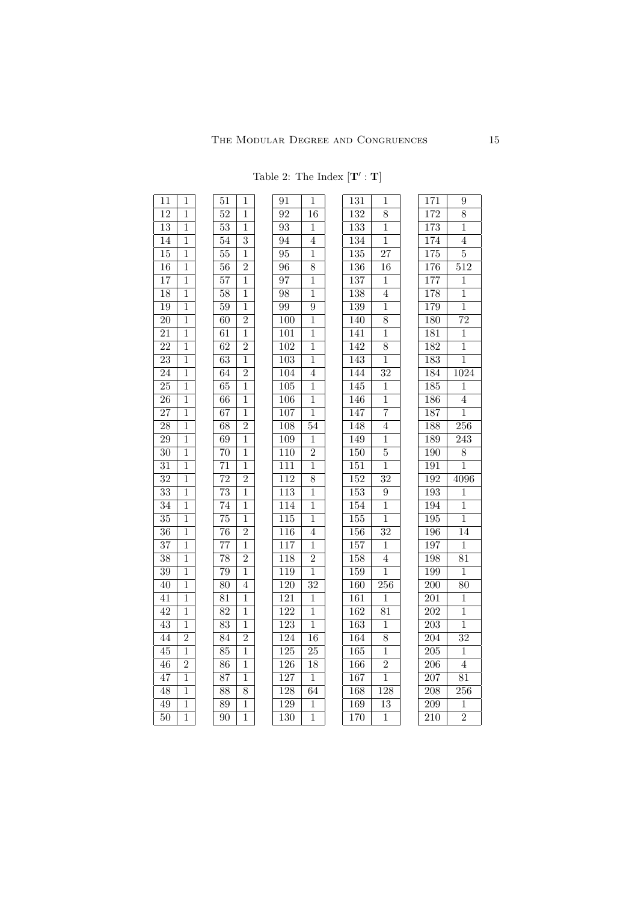| 11              | $\mathbf{1}$            | 51              | $\mathbf{1}$   |
|-----------------|-------------------------|-----------------|----------------|
| $\overline{12}$ | $\overline{1}$          | $\overline{52}$ | $\overline{1}$ |
| $\overline{13}$ | $\overline{1}$          | $\overline{53}$ | $\overline{1}$ |
| $\overline{14}$ | $\overline{1}$          | 54              | $\overline{3}$ |
| $\overline{15}$ | $\mathbf{\overline{1}}$ | $\overline{55}$ | $\overline{1}$ |
| 16              | $\overline{1}$          | $\overline{56}$ | $\overline{2}$ |
| 17              | $\overline{1}$          | $\overline{57}$ | $\overline{1}$ |
| 18              | $\overline{1}$          | $\overline{58}$ | $\overline{1}$ |
| 19              | $\overline{1}$          | $\overline{59}$ | $\overline{1}$ |
| 20              | $\overline{1}$          | 60              | $\overline{2}$ |
| $\overline{21}$ | $\overline{1}$          | $\overline{61}$ | $\overline{1}$ |
| $\overline{22}$ | $\overline{1}$          | $\overline{62}$ | $\overline{2}$ |
| 23              | $\mathbf 1$             | $\overline{63}$ | $\overline{1}$ |
| $\overline{24}$ | $\overline{1}$          | $\overline{64}$ | $\overline{2}$ |
| $\overline{25}$ | $\overline{1}$          | $\overline{65}$ | $\overline{1}$ |
| $\overline{26}$ | $\overline{1}$          | $\overline{66}$ | $\overline{1}$ |
| $\overline{27}$ | $\overline{1}$          | $\overline{67}$ | $\overline{1}$ |
| $\overline{28}$ | $\overline{1}$          | $\overline{68}$ | $\overline{2}$ |
| $\overline{29}$ | $\mathbf 1$             | $\overline{69}$ | $\overline{1}$ |
| $\overline{30}$ | $\overline{1}$          | $\overline{70}$ | $\overline{1}$ |
| $\overline{31}$ | $\overline{1}$          | $\overline{71}$ | $\overline{1}$ |
| $\overline{32}$ | $\overline{1}$          | $\overline{72}$ | $\overline{2}$ |
| $\overline{33}$ | $\mathbf{1}$            | $\overline{73}$ | $\overline{1}$ |
| $\overline{34}$ | $\mathbf{1}$            | $\overline{74}$ | $\overline{1}$ |
| $\overline{35}$ | $\mathbf 1$             | $\overline{75}$ | $\overline{1}$ |
| $\overline{36}$ | $\mathbf 1$             | $\overline{76}$ | $\overline{2}$ |
| $\overline{37}$ | $\mathbf 1$             | $\overline{77}$ | $\overline{1}$ |
| $\overline{38}$ | $\overline{1}$          | $\overline{78}$ | $\overline{2}$ |
| $\overline{39}$ | $\overline{1}$          | $\overline{79}$ | $\overline{1}$ |
| 40              | $\overline{1}$          | $\overline{80}$ | $\overline{4}$ |
| 41              | $\overline{1}$          | $\overline{81}$ | $\overline{1}$ |
| 42              | $\overline{1}$          | 82              | $\overline{1}$ |
| 43              | $\mathbf 1$             | $\overline{83}$ | $\overline{1}$ |
| 44              | $\overline{2}$          | $\overline{84}$ | $\overline{2}$ |
| $\overline{45}$ | 1                       | $\overline{85}$ | $\overline{1}$ |
| $\overline{46}$ | $\overline{2}$          | $\overline{86}$ | $\overline{1}$ |
| $\overline{47}$ | $\overline{1}$          | $\overline{87}$ | $\overline{1}$ |
| $\overline{48}$ | $\overline{1}$          | $\overline{88}$ | $\overline{8}$ |

 1  $50 \mid 1$ 

|                 |                | Table 2: The Index $[\mathbf{T}': \mathbf{T}]$ |                 |                  |                  |
|-----------------|----------------|------------------------------------------------|-----------------|------------------|------------------|
| $\overline{51}$ | $\mathbf 1$    | 91                                             | $\mathbf{1}$    | 131              | 1                |
| $\overline{52}$ | 1              | 92                                             | $^{\rm 16}$     | 132              | $\overline{8}$   |
| $\overline{53}$ | 1              | 93                                             | 1               | 133              | $\overline{1}$   |
| 54              | $\overline{3}$ | 94                                             | 4               | 134              | 1                |
| 55              | 1              | 95                                             | 1               | $\overline{135}$ | $\overline{27}$  |
| $\overline{56}$ | $\overline{2}$ | 96                                             | $\overline{8}$  | 136              | 16               |
| 57              | 1              | 97                                             | 1               | 137              | $\overline{1}$   |
| $\overline{58}$ | 1              | 98                                             | 1               | 138              | $\overline{4}$   |
| $\overline{59}$ | $\overline{1}$ | 99                                             | $\overline{9}$  | 139              | $\overline{1}$   |
| 60              | $\overline{2}$ | 100                                            | $\overline{1}$  | 140              | 8                |
| $\overline{61}$ | $\mathbf 1$    | 101                                            | $\mathbf 1$     | 141              | $\overline{1}$   |
| 62              | $\overline{2}$ | 102                                            | 1               | 142              | 8                |
| $\overline{63}$ | 1              | 103                                            | $\mathbf 1$     | 143              | 1                |
| $\overline{64}$ | $\overline{2}$ | $\overline{104}$                               | $\overline{4}$  | 144              | $\overline{32}$  |
| $\overline{65}$ | $\overline{1}$ | $\overline{105}$                               | $\overline{1}$  | $\overline{145}$ | 1                |
| 66              | $\mathbf 1$    | $\overline{106}$                               | $\overline{1}$  | 146              | $\mathbf{1}$     |
| 67              | 1              | 107                                            | 1               | 147              | $\overline{7}$   |
| $\overline{68}$ | $\overline{2}$ | 108                                            | $\overline{54}$ | 148              | $\overline{4}$   |
| $\overline{69}$ | $\overline{1}$ | $\overline{109}$                               | $\overline{1}$  | 149              | 1                |
| $\overline{70}$ | $\overline{1}$ | $\overline{110}$                               | $\overline{2}$  | 150              | $\overline{5}$   |
| $\overline{71}$ | $\mathbf 1$    | $\overline{111}$                               | $\mathbf 1$     | 151              | $\mathbf{1}$     |
| $\overline{72}$ | $\overline{2}$ | $\overline{112}$                               | 8               | $\overline{152}$ | $\overline{32}$  |
| $\overline{73}$ | $\overline{1}$ | $\overline{113}$                               | $\mathbf 1$     | 153              | $\overline{9}$   |
| 74              | 1              | 114                                            | 1               | 154              | 1                |
| $\overline{75}$ | $\overline{1}$ | 115                                            | $\overline{1}$  | 155              | $\overline{1}$   |
| $\overline{76}$ | $\overline{2}$ | $\overline{116}$                               | $\overline{4}$  | $\overline{156}$ | $\overline{32}$  |
| $\overline{77}$ | 1              | 117                                            | 1               | 157              | $\mathbf{1}$     |
| $\overline{78}$ | $\overline{2}$ | 118                                            | $\overline{2}$  | 158              | $\overline{4}$   |
| $\overline{79}$ | 1              | 119                                            | 1               | 159              | 1                |
| 80              | 4              | 120                                            | $\overline{32}$ | 160              | 256              |
| $\overline{81}$ | $\overline{1}$ | 121                                            | $\overline{1}$  | 161              | $\overline{1}$   |
| 82              | $\mathbf 1$    | 122                                            | $\overline{1}$  | 162              | 81               |
| 83              | 1              | 123                                            | $\overline{1}$  | 163              | 1                |
| 84              | $\overline{2}$ | 124                                            | $\overline{16}$ | 164              | 8                |
| $\overline{85}$ | $\overline{1}$ | 125                                            | $\overline{25}$ | 165              | $\overline{1}$   |
| $\overline{86}$ | $\overline{1}$ | 126                                            | $\overline{18}$ | 166              | $\overline{2}$   |
| $\overline{87}$ | $\mathbf 1$    | $\overline{127}$                               | $\mathbf{1}$    | 167              | $\overline{1}$   |
| $\overline{88}$ | 8              | $\overline{128}$                               | $\overline{64}$ | $\overline{168}$ | $\overline{128}$ |
| 89              | 1              | 129                                            | 1               | 169              | $\overline{13}$  |
| $\overline{90}$ | $\overline{1}$ | $\overline{130}$                               | $\overline{1}$  | 170              | $\overline{1}$   |

| 171              | 9                |
|------------------|------------------|
| 172              | $\overline{8}$   |
| $\overline{173}$ | $\overline{1}$   |
| 174              | $\overline{4}$   |
| 175              | $\overline{5}$   |
| 176              | $\overline{512}$ |
| $\overline{177}$ | $\overline{1}$   |
| 178              | $\overline{1}$   |
| 179              | $\overline{1}$   |
| 180              | $\overline{72}$  |
| 181              | $\overline{1}$   |
| 182              | $\overline{1}$   |
| $\overline{183}$ | $\overline{1}$   |
| 184              | $\frac{1024}{ }$ |
| $\overline{185}$ | $\overline{1}$   |
| 186              | $\overline{4}$   |
| $\overline{187}$ | $\mathbf 1$      |
| 188              | $\overline{256}$ |
| $\overline{189}$ | $\overline{243}$ |
| 190              | $\overline{8}$   |
| $\overline{191}$ | $\overline{1}$   |
| 192              | 4096             |
| $\overline{193}$ | $\mathbf 1$      |
| 194              | $\overline{1}$   |
| $\overline{195}$ | $\overline{1}$   |
| $\overline{196}$ | $\overline{14}$  |
| $\overline{197}$ | $\overline{1}$   |
| $\overline{198}$ | $\overline{81}$  |
| 199              | $\overline{1}$   |
| 200              | $\overline{80}$  |
| 201              | $\overline{1}$   |
| 202              | $\mathbf{1}$     |
| $\overline{203}$ | $\overline{1}$   |
| $\overline{204}$ | $\overline{32}$  |
| $\overline{205}$ | $\overline{1}$   |
| $\overline{206}$ | 4                |
| $\overline{207}$ | $\overline{81}$  |
| $\overline{208}$ | $\overline{256}$ |
| $\overline{209}$ | $\mathbf 1$      |
| $\overline{210}$ | $\overline{2}$   |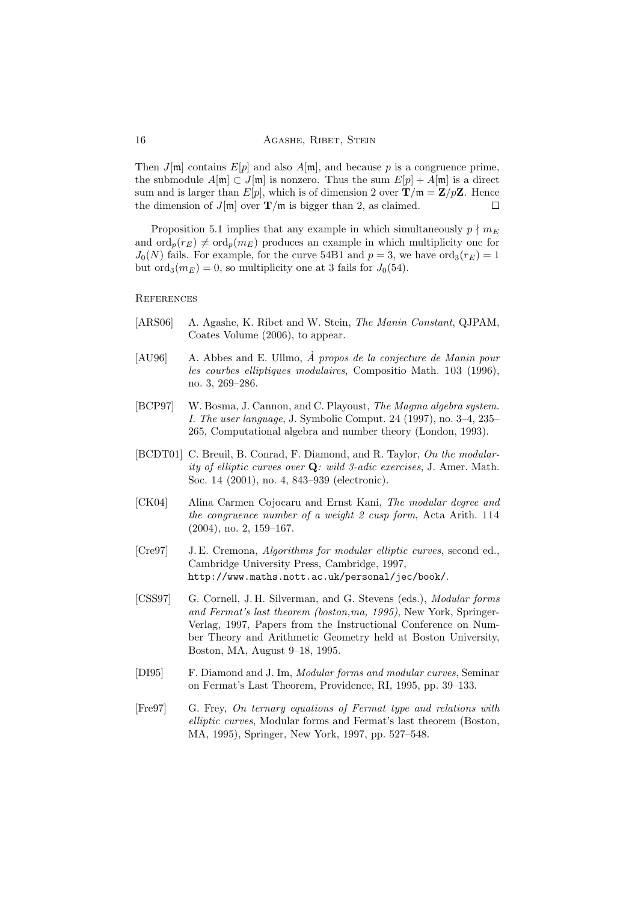Then  $J[\mathfrak{m}]$  contains  $E[p]$  and also  $A[\mathfrak{m}]$ , and because p is a congruence prime, the submodule  $A[\mathfrak{m}] \subset J[\mathfrak{m}]$  is nonzero. Thus the sum  $E[p] + A[\mathfrak{m}]$  is a direct sum and is larger than  $E[p]$ , which is of dimension 2 over  $\mathbf{T}/\mathfrak{m} = \mathbf{Z}/p\mathbf{Z}$ . Hence the dimension of  $J[\mathfrak{m}]$  over  $\mathbf{T}/\mathfrak{m}$  is bigger than 2, as claimed. П

Proposition 5.1 implies that any example in which simultaneously  $p \nmid m_E$ and  $\text{ord}_p(r_E) \neq \text{ord}_p(m_E)$  produces an example in which multiplicity one for  $J_0(N)$  fails. For example, for the curve 54B1 and  $p=3$ , we have  $\text{ord}_3(r_E)=1$ but ord<sub>3</sub> $(m_E) = 0$ , so multiplicity one at 3 fails for  $J_0(54)$ .

**REFERENCES** 

- [ARS06] A. Agashe, K. Ribet and W. Stein, The Manin Constant, QJPAM, Coates Volume (2006), to appear.
- $[AU96]$  A. Abbes and E. Ullmo,  $\AA$  propos de la conjecture de Manin pour les courbes elliptiques modulaires, Compositio Math. 103 (1996), no. 3, 269–286.
- [BCP97] W. Bosma, J. Cannon, and C. Playoust, The Magma algebra system. I. The user language, J. Symbolic Comput. 24 (1997), no. 3–4, 235– 265, Computational algebra and number theory (London, 1993).
- [BCDT01] C. Breuil, B. Conrad, F. Diamond, and R. Taylor, On the modularity of elliptic curves over Q: wild 3-adic exercises, J. Amer. Math. Soc. 14 (2001), no. 4, 843–939 (electronic).
- [CK04] Alina Carmen Cojocaru and Ernst Kani, The modular degree and the congruence number of a weight 2 cusp form, Acta Arith. 114 (2004), no. 2, 159–167.
- [Cre97] J. E. Cremona, Algorithms for modular elliptic curves, second ed., Cambridge University Press, Cambridge, 1997, http://www.maths.nott.ac.uk/personal/jec/book/.
- [CSS97] G. Cornell, J. H. Silverman, and G. Stevens (eds.), Modular forms and Fermat's last theorem (boston,ma, 1995), New York, Springer-Verlag, 1997, Papers from the Instructional Conference on Number Theory and Arithmetic Geometry held at Boston University, Boston, MA, August 9–18, 1995.
- [DI95] F. Diamond and J. Im, Modular forms and modular curves, Seminar on Fermat's Last Theorem, Providence, RI, 1995, pp. 39–133.
- [Fre97] G. Frey, On ternary equations of Fermat type and relations with elliptic curves, Modular forms and Fermat's last theorem (Boston, MA, 1995), Springer, New York, 1997, pp. 527–548.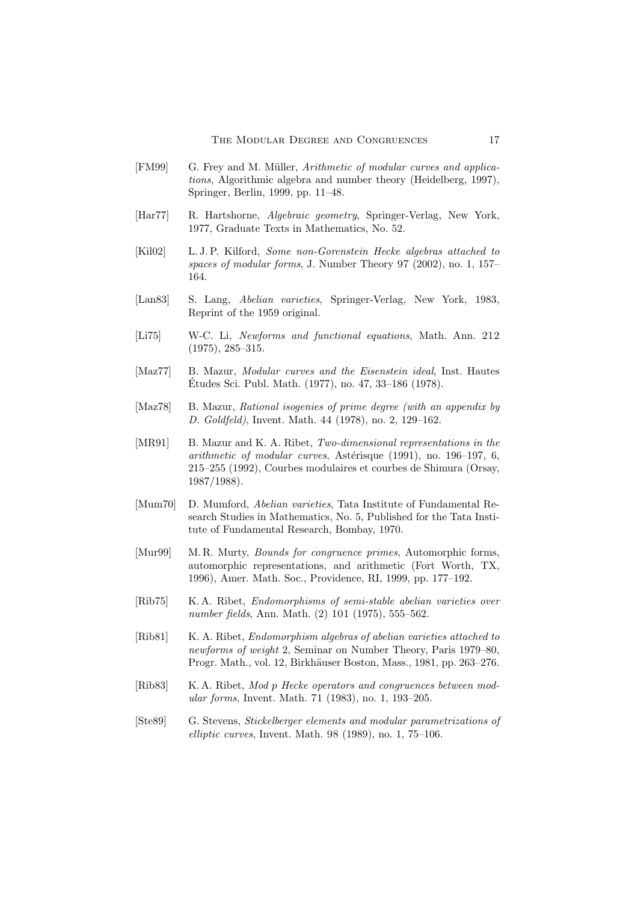- [FM99] G. Frey and M. Müller, *Arithmetic of modular curves and applica*tions, Algorithmic algebra and number theory (Heidelberg, 1997), Springer, Berlin, 1999, pp. 11–48.
- [Har77] R. Hartshorne, Algebraic geometry, Springer-Verlag, New York, 1977, Graduate Texts in Mathematics, No. 52.
- [Kil02] L. J. P. Kilford, Some non-Gorenstein Hecke algebras attached to spaces of modular forms, J. Number Theory 97 (2002), no. 1, 157– 164.
- [Lan83] S. Lang, Abelian varieties, Springer-Verlag, New York, 1983, Reprint of the 1959 original.
- [Li75] W-C. Li, Newforms and functional equations, Math. Ann. 212 (1975), 285–315.
- [Maz77] B. Mazur, Modular curves and the Eisenstein ideal, Inst. Hautes Etudes Sci. Publ. Math. (1977), no. 47, 33–186 (1978). ´
- [Maz78] B. Mazur, Rational isogenies of prime degree (with an appendix by D. Goldfeld), Invent. Math. 44 (1978), no. 2, 129–162.
- [MR91] B. Mazur and K. A. Ribet, Two-dimensional representations in the arithmetic of modular curves, Astérisque (1991), no. 196–197, 6, 215–255 (1992), Courbes modulaires et courbes de Shimura (Orsay, 1987/1988).
- [Mum70] D. Mumford, Abelian varieties, Tata Institute of Fundamental Research Studies in Mathematics, No. 5, Published for the Tata Institute of Fundamental Research, Bombay, 1970.
- [Mur99] M. R. Murty, *Bounds for congruence primes*, Automorphic forms, automorphic representations, and arithmetic (Fort Worth, TX, 1996), Amer. Math. Soc., Providence, RI, 1999, pp. 177–192.
- [Rib75] K. A. Ribet, *Endomorphisms of semi-stable abelian varieties over* number fields, Ann. Math. (2) 101 (1975), 555–562.
- [Rib81] K. A. Ribet, *Endomorphism algebras of abelian varieties attached to* newforms of weight 2, Seminar on Number Theory, Paris 1979–80, Progr. Math., vol. 12, Birkhäuser Boston, Mass., 1981, pp. 263–276.
- [Rib83] K. A. Ribet, Mod p Hecke operators and congruences between modular forms, Invent. Math. 71 (1983), no. 1, 193–205.
- [Ste89] G. Stevens, Stickelberger elements and modular parametrizations of elliptic curves, Invent. Math. 98 (1989), no. 1, 75–106.